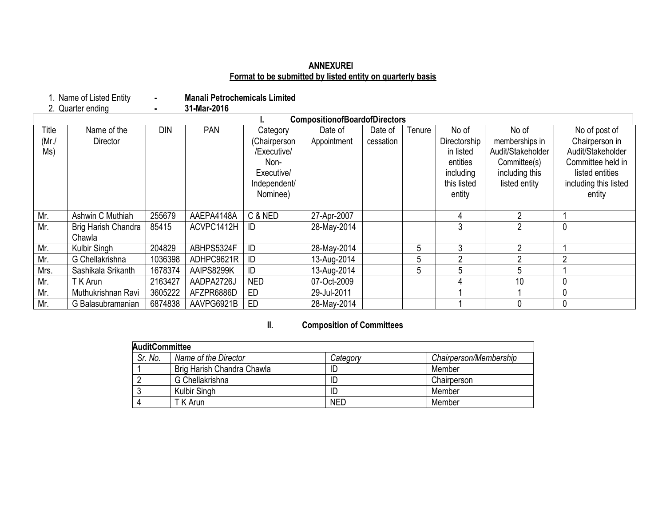### **ANNEXUREI Format to be submitted by listed entity on quarterly basis**

- Manali Petrochemicals Limited<br>**-** 31-Mar-2016 1. Name of Listed Entity **-**<br>2. Quarter ending **-**

|       | <b>CompositionofBoardofDirectors</b> |            |            |              |             |           |        |              |                   |                       |
|-------|--------------------------------------|------------|------------|--------------|-------------|-----------|--------|--------------|-------------------|-----------------------|
| Title | Name of the                          | <b>DIN</b> | <b>PAN</b> | Category     | Date of     | Date of   | Tenure | No of        | No of             | No of post of         |
| (Mr./ | Director                             |            |            | (Chairperson | Appointment | cessation |        | Directorship | memberships in    | Chairperson in        |
| Ms)   |                                      |            |            | /Executive/  |             |           |        | in listed    | Audit/Stakeholder | Audit/Stakeholder     |
|       |                                      |            |            | Non-         |             |           |        | entities     | Committee(s)      | Committee held in     |
|       |                                      |            |            | Executive/   |             |           |        | including    | including this    | listed entities       |
|       |                                      |            |            | Independent/ |             |           |        | this listed  | listed entity     | including this listed |
|       |                                      |            |            | Nominee)     |             |           |        | entity       |                   | entity                |
|       |                                      |            |            |              |             |           |        |              |                   |                       |
| Mr.   | Ashwin C Muthiah                     | 255679     | AAEPA4148A | C & NED      | 27-Apr-2007 |           |        | 4            | C                 |                       |
| Mr.   | Brig Harish Chandra                  | 85415      | ACVPC1412H | ID           | 28-May-2014 |           |        |              | $\overline{2}$    | 0                     |
|       | Chawla                               |            |            |              |             |           |        |              |                   |                       |
| Mr.   | Kulbir Singh                         | 204829     | ABHPS5324F | ID           | 28-May-2014 |           | 5      | 3            | 2                 |                       |
| Mr.   | G Chellakrishna                      | 1036398    | ADHPC9621R | ID           | 13-Aug-2014 |           | 5      | ∩            | 2                 | $\overline{2}$        |
| Mrs.  | Sashikala Srikanth                   | 1678374    | AAIPS8299K | ID           | 13-Aug-2014 |           | 5      | 5            | 5                 |                       |
| Mr.   | T K Arun                             | 2163427    | AADPA2726J | <b>NED</b>   | 07-Oct-2009 |           |        |              | 10                | $\mathbf 0$           |
| Mr.   | Muthukrishnan Ravi                   | 3605222    | AFZPR6886D | <b>ED</b>    | 29-Jul-2011 |           |        |              |                   |                       |
| Mr.   | G Balasubramanian                    | 6874838    | AAVPG6921B | <b>ED</b>    | 28-May-2014 |           |        |              |                   |                       |

# **II. Composition of Committees**

| <b>AuditCommittee</b> |                            |            |                        |
|-----------------------|----------------------------|------------|------------------------|
| Sr. No.               | Name of the Director       | Category   | Chairperson/Membership |
|                       | Brig Harish Chandra Chawla |            | Member                 |
|                       | G Chellakrishna            |            | Chairperson            |
|                       | Kulbir Singh               |            | Member                 |
|                       | T K Arun                   | <b>NED</b> | Member                 |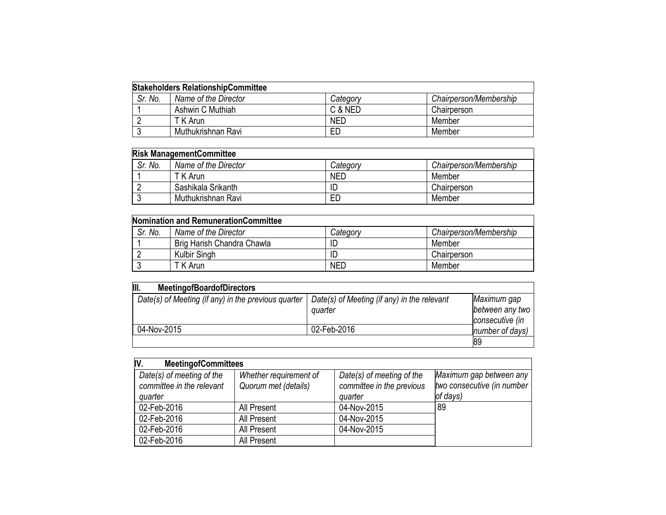| <b>Stakeholders RelationshipCommittee</b> |                      |            |                        |  |
|-------------------------------------------|----------------------|------------|------------------------|--|
| Sr. No.                                   | Name of the Director | Category   | Chairperson/Membership |  |
|                                           | Ashwin C Muthiah     | C & NED    | Chairperson            |  |
|                                           | T K Arun             | <b>NED</b> | Member                 |  |
|                                           | Muthukrishnan Ravi   | ED         | Member                 |  |

| <b>Risk ManagementCommittee</b> |                      |            |                        |  |
|---------------------------------|----------------------|------------|------------------------|--|
| Sr. No.                         | Name of the Director | Category   | Chairperson/Membership |  |
|                                 | T K Arun.            | <b>NED</b> | Member                 |  |
|                                 | Sashikala Srikanth   |            | Chairperson            |  |
|                                 | Muthukrishnan Ravi   | ED         | Member                 |  |

| <b>Nomination and RemunerationCommittee</b> |                            |            |                        |  |
|---------------------------------------------|----------------------------|------------|------------------------|--|
| Sr. No.                                     | Name of the Director       | Category   | Chairperson/Membership |  |
|                                             | Brig Harish Chandra Chawla |            | Member                 |  |
|                                             | Kulbir Singh               |            | Chairperson            |  |
|                                             | T K Arun                   | <b>NED</b> | Member                 |  |

| III.<br><b>MeetingofBoardofDirectors</b>            |                                             |                 |
|-----------------------------------------------------|---------------------------------------------|-----------------|
| Date(s) of Meeting (if any) in the previous quarter | Date(s) of Meeting (if any) in the relevant | Maximum gap     |
|                                                     | quarter                                     | between any two |
|                                                     |                                             | consecutive (in |
| 04-Nov-2015                                         | 02-Feb-2016                                 | number of days) |
|                                                     |                                             | 89              |

| IV.<br><b>MeetingofCommittees</b>                                 |                                                |                                                                   |                                                                   |
|-------------------------------------------------------------------|------------------------------------------------|-------------------------------------------------------------------|-------------------------------------------------------------------|
| Date(s) of meeting of the<br>committee in the relevant<br>quarter | Whether requirement of<br>Quorum met (details) | Date(s) of meeting of the<br>committee in the previous<br>quarter | Maximum gap between any<br>two consecutive (in number<br>of days) |
| 02-Feb-2016                                                       | All Present                                    | 04-Nov-2015                                                       | 89                                                                |
| 02-Feb-2016                                                       | All Present                                    | 04-Nov-2015                                                       |                                                                   |
| 02-Feb-2016                                                       | All Present                                    | 04-Nov-2015                                                       |                                                                   |
| 02-Feb-2016                                                       | All Present                                    |                                                                   |                                                                   |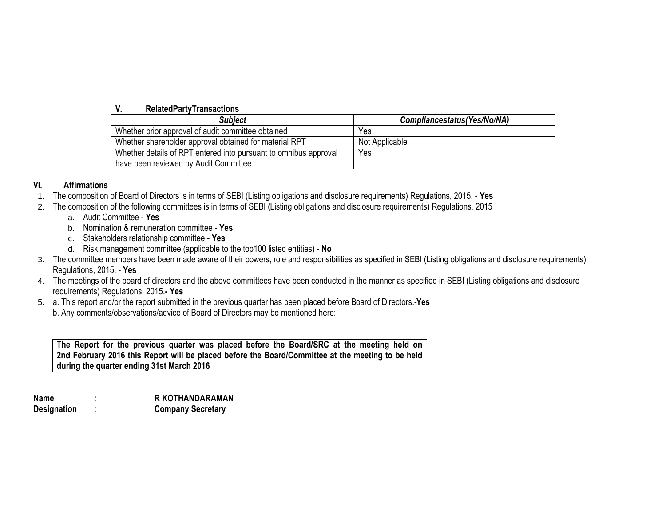| V.<br><b>RelatedPartyTransactions</b>                            |                              |
|------------------------------------------------------------------|------------------------------|
| <b>Subject</b>                                                   | Compliancestatus (Yes/No/NA) |
| Whether prior approval of audit committee obtained               | Yes                          |
| Whether shareholder approval obtained for material RPT           | Not Applicable               |
| Whether details of RPT entered into pursuant to omnibus approval | Yes                          |
| have been reviewed by Audit Committee                            |                              |

### **VI. Affirmations**

- 1. The composition of Board of Directors is in terms of SEBI (Listing obligations and disclosure requirements) Regulations, 2015. **Yes**
- 2. The composition of the following committees is in terms of SEBI (Listing obligations and disclosure requirements) Regulations, 2015
	- a. Audit Committee **Yes**
	- b. Nomination & remuneration committee **Yes**
	- c. Stakeholders relationship committee **Yes**
	- d. Risk management committee (applicable to the top100 listed entities) **- No**
- 3. The committee members have been made aware of their powers, role and responsibilities as specified in SEBI (Listing obligations and disclosure requirements) Regulations, 2015. **- Yes**
- 4. The meetings of the board of directors and the above committees have been conducted in the manner as specified in SEBI (Listing obligations and disclosure requirements) Regulations, 2015.**- Yes**
- 5. a. This report and/or the report submitted in the previous quarter has been placed before Board of Directors.**-Yes** b. Any comments/observations/advice of Board of Directors may be mentioned here:

**The Report for the previous quarter was placed before the Board/SRC at the meeting held on 2nd February 2016 this Report will be placed before the Board/Committee at the meeting to be held during the quarter ending 31st March 2016**

**Name : R KOTHANDARAMAN Designation : Company Secretary**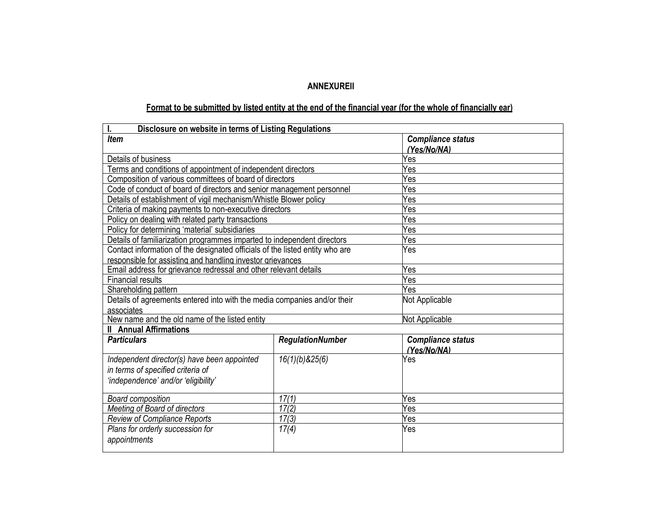## **ANNEXUREII**

# Format to be submitted by listed entity at the end of the financial year (for the whole of financially ear)

| Disclosure on website in terms of Listing Regulations<br>I.                  |                         |                                         |  |  |  |
|------------------------------------------------------------------------------|-------------------------|-----------------------------------------|--|--|--|
| Item                                                                         |                         | <b>Compliance status</b>                |  |  |  |
|                                                                              |                         | (Yes/No/NA)                             |  |  |  |
| Details of business                                                          |                         | Yes                                     |  |  |  |
| Terms and conditions of appointment of independent directors                 |                         | Yes                                     |  |  |  |
| Composition of various committees of board of directors                      |                         | Yes                                     |  |  |  |
| Code of conduct of board of directors and senior management personnel        |                         | Yes                                     |  |  |  |
| Details of establishment of vigil mechanism/Whistle Blower policy            |                         | Yes                                     |  |  |  |
| Criteria of making payments to non-executive directors                       |                         | Yes                                     |  |  |  |
| Policy on dealing with related party transactions                            |                         | Yes                                     |  |  |  |
| Policy for determining 'material' subsidiaries                               |                         | Yes                                     |  |  |  |
| Details of familiarization programmes imparted to independent directors      |                         | Yes                                     |  |  |  |
| Contact information of the designated officials of the listed entity who are |                         | Yes                                     |  |  |  |
| responsible for assisting and handling investor grievances                   |                         |                                         |  |  |  |
| Email address for grievance redressal and other relevant details             |                         | Yes                                     |  |  |  |
| <b>Financial results</b>                                                     | Yes                     |                                         |  |  |  |
| Shareholding pattern                                                         |                         | Yes                                     |  |  |  |
| Details of agreements entered into with the media companies and/or their     | Not Applicable          |                                         |  |  |  |
| associates                                                                   |                         |                                         |  |  |  |
| New name and the old name of the listed entity                               |                         | Not Applicable                          |  |  |  |
| <b>II</b> Annual Affirmations                                                |                         |                                         |  |  |  |
| <b>Particulars</b>                                                           | <b>RegulationNumber</b> | <b>Compliance status</b><br>(Yes/No/NA) |  |  |  |
| Independent director(s) have been appointed                                  | 16(1)(b)825(6)          | Yes                                     |  |  |  |
| in terms of specified criteria of                                            |                         |                                         |  |  |  |
| 'independence' and/or 'eligibility'                                          |                         |                                         |  |  |  |
|                                                                              |                         |                                         |  |  |  |
| <b>Board composition</b>                                                     | Yes                     |                                         |  |  |  |
| Meeting of Board of directors                                                | Yes                     |                                         |  |  |  |
| <b>Review of Compliance Reports</b>                                          | Yes                     |                                         |  |  |  |
| Plans for orderly succession for                                             | 17(4)                   | Yes                                     |  |  |  |
| appointments                                                                 |                         |                                         |  |  |  |
|                                                                              |                         |                                         |  |  |  |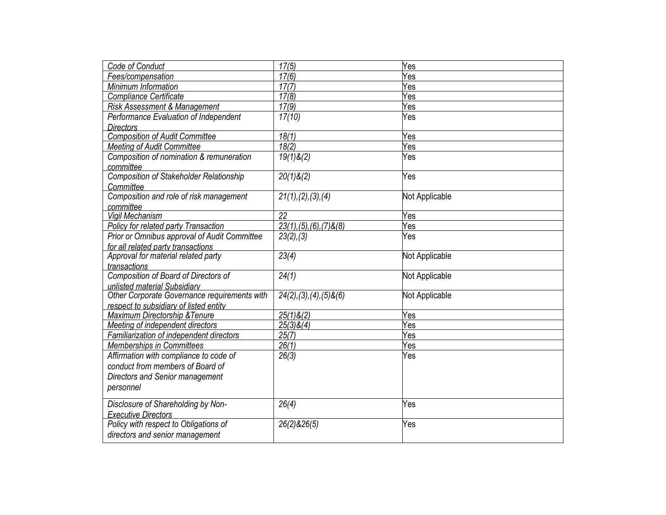| Code of Conduct                                | 17(5)                          | Yes            |
|------------------------------------------------|--------------------------------|----------------|
| Fees/compensation                              | 17(6)                          | Yes            |
| Minimum Information                            | 17(7)                          | Yes            |
| Compliance Certificate                         | 17(8)                          | Yes            |
| Risk Assessment & Management                   | 17(9)                          | Yes            |
| Performance Evaluation of Independent          | 17(10)                         | Yes            |
| <b>Directors</b>                               |                                |                |
| <b>Composition of Audit Committee</b>          | 18(1)                          | Yes            |
| <b>Meeting of Audit Committee</b>              | 18(2)                          | Yes            |
| Composition of nomination & remuneration       | $19(1)$ &(2)                   | Yes            |
| committee                                      |                                |                |
| <b>Composition of Stakeholder Relationship</b> | $20(1)$ & $(2)$                | Yes            |
| Committee                                      |                                |                |
| Composition and role of risk management        | 21(1), (2), (3), (4)           | Not Applicable |
| committee                                      |                                |                |
| Vigil Mechanism                                | 22                             | Yes            |
| Policy for related party Transaction           | $23(1), (5), (6), (7)$ & $(8)$ | Yes            |
| Prior or Omnibus approval of Audit Committee   | 23(2), (3)                     | Yes            |
| for all related party transactions             |                                |                |
| Approval for material related party            | 23(4)                          | Not Applicable |
| transactions                                   |                                |                |
| Composition of Board of Directors of           | 24(1)                          | Not Applicable |
| unlisted material Subsidiary                   |                                |                |
| Other Corporate Governance requirements with   | $24(2), (3), (4), (5)$ & $(6)$ | Not Applicable |
| respect to subsidiary of listed entity         |                                |                |
| Maximum Directorship & Tenure                  | $25(1)$ &(2)                   | Yes            |
| Meeting of independent directors               | $25(3)$ &(4)                   | Yes            |
| Familiarization of independent directors       | 25(7)                          | Yes            |
| <b>Memberships in Committees</b>               | 26(1)                          | Yes            |
| Affirmation with compliance to code of         | 26(3)                          | Yes            |
| conduct from members of Board of               |                                |                |
| Directors and Senior management                |                                |                |
| personnel                                      |                                |                |
|                                                |                                |                |
| Disclosure of Shareholding by Non-             | 26(4)                          | Yes            |
| <b>Executive Directors</b>                     |                                |                |
| Policy with respect to Obligations of          | 26(2)826(5)                    | Yes            |
| directors and senior management                |                                |                |